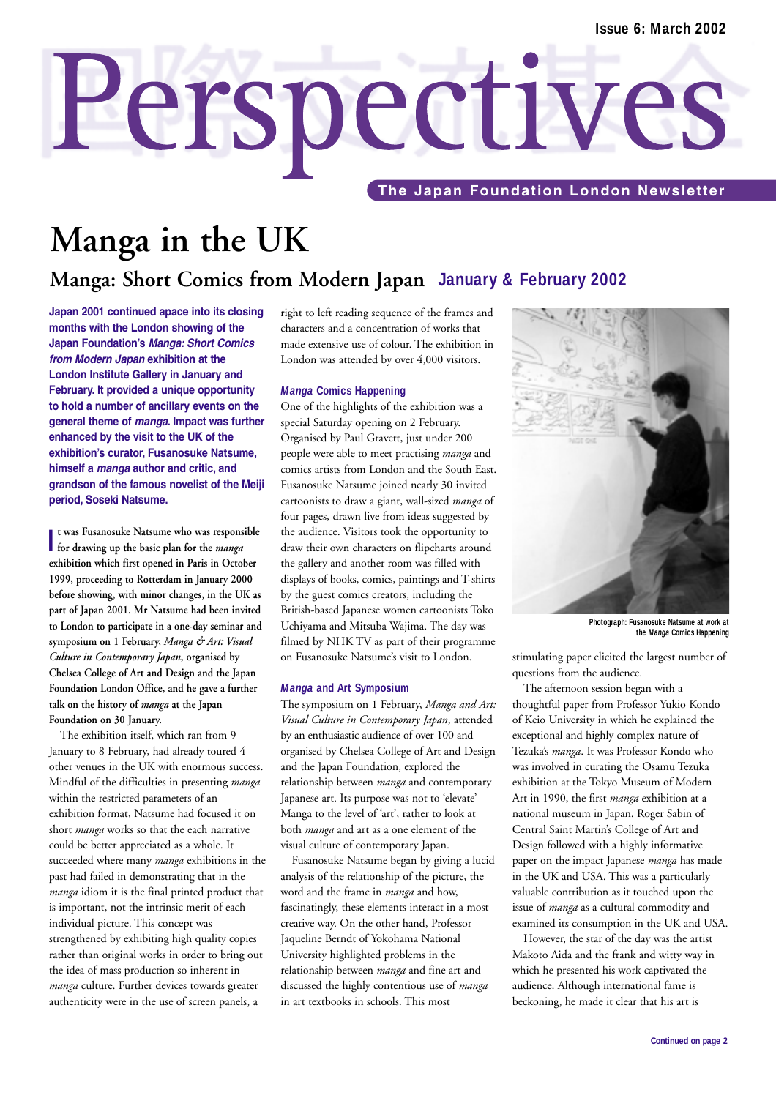# Perspectives **The Japan Foundation London Newsletter**

# **Manga in the UK**

### **Manga: Short Comics from Modern Japan January & February 2002**

**Japan 2001 continued apace into its closing months with the London showing of the Japan Foundation's** *Manga: Short Comics from Modern Japan* **exhibition at the London Institute Gallery in January and February. It provided a unique opportunity to hold a number of ancillary events on the general theme of** *manga***. Impact was further enhanced by the visit to the UK of the exhibition's curator, Fusanosuke Natsume, himself a** *manga* **author and critic, and grandson of the famous novelist of the Meiji period, Soseki Natsume.**

I t was Fusanosuke Natsume who was responsed for drawing up the basic plan for the *manga* **t was Fusanosuke Natsume who was responsible exhibition which first opened in Paris in October 1999, proceeding to Rotterdam in January 2000 before showing, with minor changes, in the UK as part of Japan 2001. Mr Natsume had been invited to London to participate in a one-day seminar and symposium on 1 February,** *Manga & Art: Visual Culture in Contemporary Japan***, organised by Chelsea College of Art and Design and the Japan Foundation London Office, and he gave a further talk on the history of** *manga* **at the Japan Foundation on 30 January.** 

The exhibition itself, which ran from 9 January to 8 February, had already toured 4 other venues in the UK with enormous success. Mindful of the difficulties in presenting *manga* within the restricted parameters of an exhibition format, Natsume had focused it on short *manga* works so that the each narrative could be better appreciated as a whole. It succeeded where many *manga* exhibitions in the past had failed in demonstrating that in the *manga* idiom it is the final printed product that is important, not the intrinsic merit of each individual picture. This concept was strengthened by exhibiting high quality copies rather than original works in order to bring out the idea of mass production so inherent in *manga* culture. Further devices towards greater authenticity were in the use of screen panels, a

right to left reading sequence of the frames and characters and a concentration of works that made extensive use of colour. The exhibition in London was attended by over 4,000 visitors.

### *Manga* **Comics Happening**

One of the highlights of the exhibition was a special Saturday opening on 2 February. Organised by Paul Gravett, just under 200 people were able to meet practising *manga* and comics artists from London and the South East. Fusanosuke Natsume joined nearly 30 invited cartoonists to draw a giant, wall-sized *manga* of four pages, drawn live from ideas suggested by the audience. Visitors took the opportunity to draw their own characters on flipcharts around the gallery and another room was filled with displays of books, comics, paintings and T-shirts by the guest comics creators, including the British-based Japanese women cartoonists Toko Uchiyama and Mitsuba Wajima. The day was filmed by NHK TV as part of their programme on Fusanosuke Natsume's visit to London.

#### *Manga* **and Art Symposium**

The symposium on 1 February, *Manga and Art: Visual Culture in Contemporary Japan*, attended by an enthusiastic audience of over 100 and organised by Chelsea College of Art and Design and the Japan Foundation, explored the relationship between *manga* and contemporary Japanese art. Its purpose was not to 'elevate' Manga to the level of 'art', rather to look at both *manga* and art as a one element of the visual culture of contemporary Japan.

Fusanosuke Natsume began by giving a lucid analysis of the relationship of the picture, the word and the frame in *manga* and how, fascinatingly, these elements interact in a most creative way. On the other hand, Professor Jaqueline Berndt of Yokohama National University highlighted problems in the relationship between *manga* and fine art and discussed the highly contentious use of *manga* in art textbooks in schools. This most



**Photograph: Fusanosuke Natsume at work at the** *Manga* **Comics Happening** 

stimulating paper elicited the largest number of questions from the audience.

The afternoon session began with a thoughtful paper from Professor Yukio Kondo of Keio University in which he explained the exceptional and highly complex nature of Tezuka's *manga*. It was Professor Kondo who was involved in curating the Osamu Tezuka exhibition at the Tokyo Museum of Modern Art in 1990, the first *manga* exhibition at a national museum in Japan. Roger Sabin of Central Saint Martin's College of Art and Design followed with a highly informative paper on the impact Japanese *manga* has made in the UK and USA. This was a particularly valuable contribution as it touched upon the issue of *manga* as a cultural commodity and examined its consumption in the UK and USA.

However, the star of the day was the artist Makoto Aida and the frank and witty way in which he presented his work captivated the audience. Although international fame is beckoning, he made it clear that his art is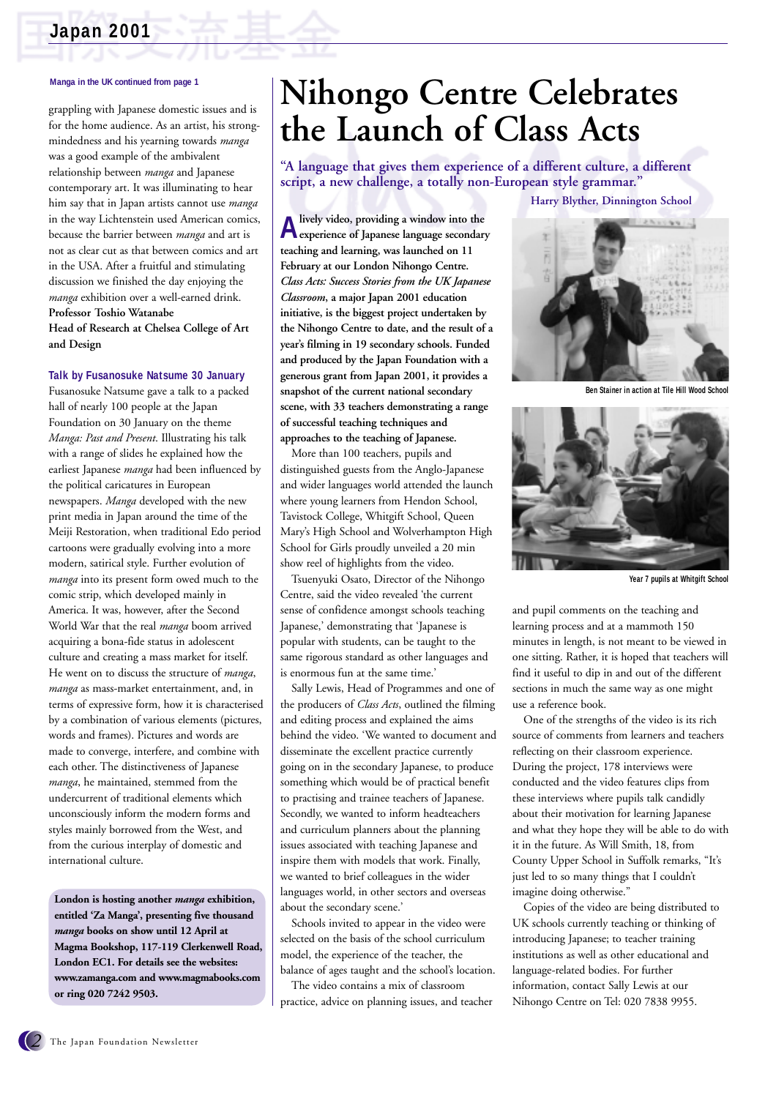### **Japan 2001**

#### **Manga in the UK continued from page 1**

grappling with Japanese domestic issues and is for the home audience. As an artist, his strongmindedness and his yearning towards *manga* was a good example of the ambivalent relationship between *manga* and Japanese contemporary art. It was illuminating to hear him say that in Japan artists cannot use *manga* in the way Lichtenstein used American comics, because the barrier between *manga* and art is not as clear cut as that between comics and art in the USA. After a fruitful and stimulating discussion we finished the day enjoying the *manga* exhibition over a well-earned drink. **Professor Toshio Watanabe Head of Research at Chelsea College of Art and Design**

#### **Talk by Fusanosuke Natsume 30 January**

Fusanosuke Natsume gave a talk to a packed hall of nearly 100 people at the Japan Foundation on 30 January on the theme *Manga: Past and Present*. Illustrating his talk with a range of slides he explained how the earliest Japanese *manga* had been influenced by the political caricatures in European newspapers. *Manga* developed with the new print media in Japan around the time of the Meiji Restoration, when traditional Edo period cartoons were gradually evolving into a more modern, satirical style. Further evolution of *manga* into its present form owed much to the comic strip, which developed mainly in America. It was, however, after the Second World War that the real *manga* boom arrived acquiring a bona-fide status in adolescent culture and creating a mass market for itself. He went on to discuss the structure of *manga*, *manga* as mass-market entertainment, and, in terms of expressive form, how it is characterised by a combination of various elements (pictures, words and frames). Pictures and words are made to converge, interfere, and combine with each other. The distinctiveness of Japanese *manga*, he maintained, stemmed from the undercurrent of traditional elements which unconsciously inform the modern forms and styles mainly borrowed from the West, and from the curious interplay of domestic and international culture.

**London is hosting another** *manga* **exhibition, entitled 'Za Manga', presenting five thousand** *manga* **books on show until 12 April at Magma Bookshop, 117-119 Clerkenwell Road, London EC1. For details see the websites: www.zamanga.com and www.magmabooks.com or ring 020 7242 9503.**

# **Nihongo Centre Celebrates the Launch of Class Acts**

**"A language that gives them experience of a different culture, a different script, a new challenge, a totally non-European style grammar."** 

**Alively video, providing a window into the experience of Japanese language secondary teaching and learning, was launched on 11 February at our London Nihongo Centre.**  *Class Acts: Success Stories from the UK Japanese Classroom***, a major Japan 2001 education initiative, is the biggest project undertaken by the Nihongo Centre to date, and the result of a year's filming in 19 secondary schools. Funded and produced by the Japan Foundation with a generous grant from Japan 2001, it provides a snapshot of the current national secondary scene, with 33 teachers demonstrating a range of successful teaching techniques and approaches to the teaching of Japanese.** 

More than 100 teachers, pupils and distinguished guests from the Anglo-Japanese and wider languages world attended the launch where young learners from Hendon School, Tavistock College, Whitgift School, Queen Mary's High School and Wolverhampton High School for Girls proudly unveiled a 20 min show reel of highlights from the video.

Tsuenyuki Osato, Director of the Nihongo Centre, said the video revealed 'the current sense of confidence amongst schools teaching Japanese,' demonstrating that 'Japanese is popular with students, can be taught to the same rigorous standard as other languages and is enormous fun at the same time.'

Sally Lewis, Head of Programmes and one of the producers of *Class Acts*, outlined the filming and editing process and explained the aims behind the video. 'We wanted to document and disseminate the excellent practice currently going on in the secondary Japanese, to produce something which would be of practical benefit to practising and trainee teachers of Japanese. Secondly, we wanted to inform headteachers and curriculum planners about the planning issues associated with teaching Japanese and inspire them with models that work. Finally, we wanted to brief colleagues in the wider languages world, in other sectors and overseas about the secondary scene.'

Schools invited to appear in the video were selected on the basis of the school curriculum model, the experience of the teacher, the balance of ages taught and the school's location.

The video contains a mix of classroom practice, advice on planning issues, and teacher

**Harry Blyther, Dinnington School**



**Ben Stainer in action at Tile Hill Wood School**



**Year 7 pupils at Whitgift School**

and pupil comments on the teaching and learning process and at a mammoth 150 minutes in length, is not meant to be viewed in one sitting. Rather, it is hoped that teachers will find it useful to dip in and out of the different sections in much the same way as one might use a reference book.

One of the strengths of the video is its rich source of comments from learners and teachers reflecting on their classroom experience. During the project, 178 interviews were conducted and the video features clips from these interviews where pupils talk candidly about their motivation for learning Japanese and what they hope they will be able to do with it in the future. As Will Smith, 18, from County Upper School in Suffolk remarks, "It's just led to so many things that I couldn't imagine doing otherwise."

Copies of the video are being distributed to UK schools currently teaching or thinking of introducing Japanese; to teacher training institutions as well as other educational and language-related bodies. For further information, contact Sally Lewis at our Nihongo Centre on Tel: 020 7838 9955.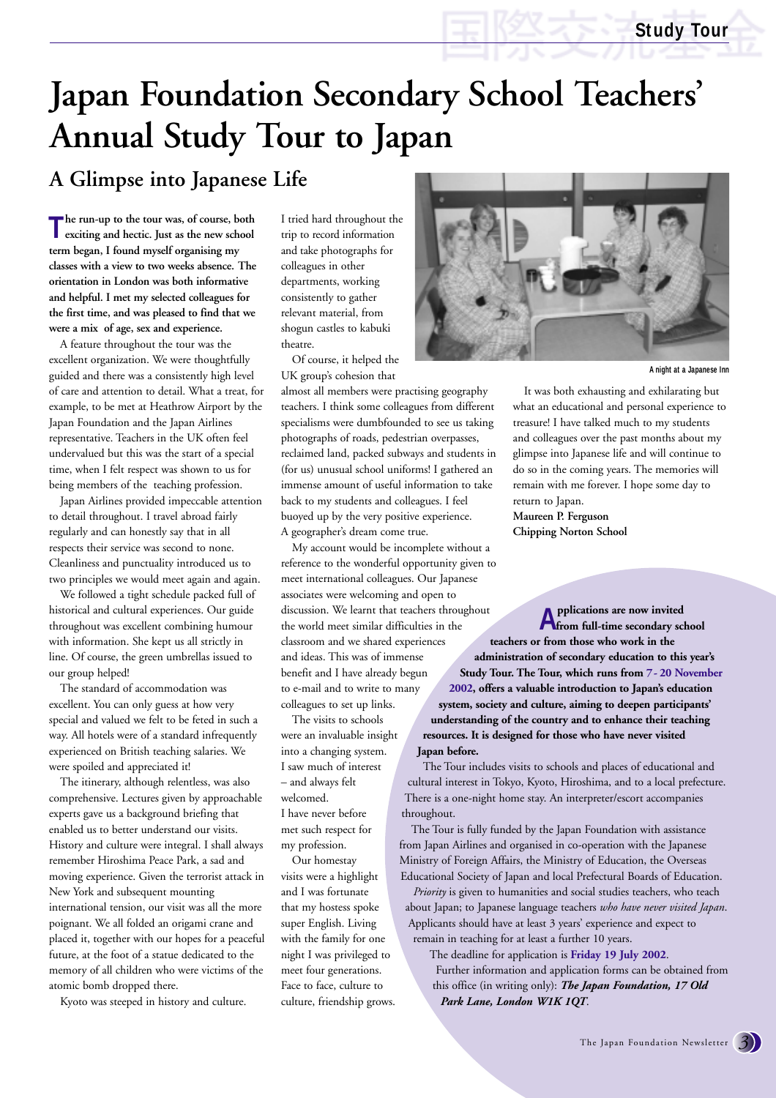# **Japan Foundation Secondary School Teachers' Annual Study Tour to Japan**

## **A Glimpse into Japanese Life**

**The run-up to the tour was, of course, both exciting and hectic. Just as the new school term began, I found myself organising my classes with a view to two weeks absence. The orientation in London was both informative and helpful. I met my selected colleagues for the first time, and was pleased to find that we were a mix of age, sex and experience.** 

A feature throughout the tour was the excellent organization. We were thoughtfully guided and there was a consistently high level of care and attention to detail. What a treat, for example, to be met at Heathrow Airport by the Japan Foundation and the Japan Airlines representative. Teachers in the UK often feel undervalued but this was the start of a special time, when I felt respect was shown to us for being members of the teaching profession.

Japan Airlines provided impeccable attention to detail throughout. I travel abroad fairly regularly and can honestly say that in all respects their service was second to none. Cleanliness and punctuality introduced us to two principles we would meet again and again.

We followed a tight schedule packed full of historical and cultural experiences. Our guide throughout was excellent combining humour with information. She kept us all strictly in line. Of course, the green umbrellas issued to our group helped!

The standard of accommodation was excellent. You can only guess at how very special and valued we felt to be feted in such a way. All hotels were of a standard infrequently experienced on British teaching salaries. We were spoiled and appreciated it!

The itinerary, although relentless, was also comprehensive. Lectures given by approachable experts gave us a background briefing that enabled us to better understand our visits. History and culture were integral. I shall always remember Hiroshima Peace Park, a sad and moving experience. Given the terrorist attack in New York and subsequent mounting international tension, our visit was all the more poignant. We all folded an origami crane and placed it, together with our hopes for a peaceful future, at the foot of a statue dedicated to the memory of all children who were victims of the atomic bomb dropped there.

Kyoto was steeped in history and culture.

I tried hard throughout the trip to record information and take photographs for colleagues in other departments, working consistently to gather relevant material, from shogun castles to kabuki theatre.

Of course, it helped the UK group's cohesion that

almost all members were practising geography teachers. I think some colleagues from different specialisms were dumbfounded to see us taking photographs of roads, pedestrian overpasses, reclaimed land, packed subways and students in (for us) unusual school uniforms! I gathered an immense amount of useful information to take back to my students and colleagues. I feel buoyed up by the very positive experience. A geographer's dream come true.

My account would be incomplete without a reference to the wonderful opportunity given to meet international colleagues. Our Japanese associates were welcoming and open to discussion. We learnt that teachers throughout the world meet similar difficulties in the classroom and we shared experiences and ideas. This was of immense benefit and I have already begun to e-mail and to write to many colleagues to set up links.

The visits to schools were an invaluable insight into a changing system. I saw much of interest – and always felt welcomed. I have never before met such respect for my profession.

Our homestay visits were a highlight and I was fortunate that my hostess spoke super English. Living with the family for one night I was privileged to meet four generations. Face to face, culture to culture, friendship grows.



**A night at a Japanese Inn**

It was both exhausting and exhilarating but what an educational and personal experience to treasure! I have talked much to my students and colleagues over the past months about my glimpse into Japanese life and will continue to do so in the coming years. The memories will remain with me forever. I hope some day to return to Japan.

**Maureen P. Ferguson Chipping Norton School**

**Applications are now invited from full-time secondary school teachers or from those who work in the administration of secondary education to this year's Study Tour. The Tour, which runs from 7- 20 November 2002, offers a valuable introduction to Japan's education system, society and culture, aiming to deepen participants' understanding of the country and to enhance their teaching resources. It is designed for those who have never visited Japan before.** 

The Tour includes visits to schools and places of educational and cultural interest in Tokyo, Kyoto, Hiroshima, and to a local prefecture. There is a one-night home stay. An interpreter/escort accompanies throughout.

The Tour is fully funded by the Japan Foundation with assistance from Japan Airlines and organised in co-operation with the Japanese Ministry of Foreign Affairs, the Ministry of Education, the Overseas Educational Society of Japan and local Prefectural Boards of Education.

*Priority* is given to humanities and social studies teachers, who teach about Japan; to Japanese language teachers *who have never visited Japan*. Applicants should have at least 3 years' experience and expect to remain in teaching for at least a further 10 years.

The deadline for application is **Friday 19 July 2002**. Further information and application forms can be obtained from this office (in writing only): *The Japan Foundation, 17 Old Park Lane, London W1K 1QT*.